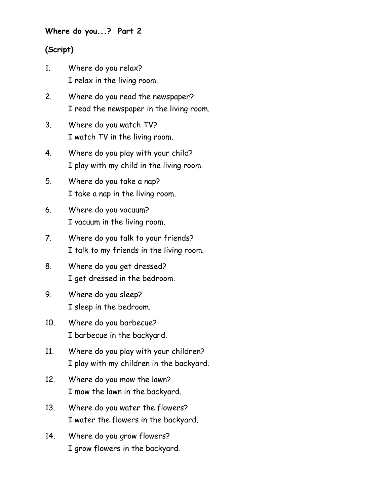**Where do you...? Part 2**

## **(Script)**

- 1. Where do you relax? I relax in the living room.
- 2. Where do you read the newspaper? I read the newspaper in the living room.
- 3. Where do you watch TV? I watch TV in the living room.
- 4. Where do you play with your child? I play with my child in the living room.
- 5. Where do you take a nap? I take a nap in the living room.
- 6. Where do you vacuum? I vacuum in the living room.
- 7. Where do you talk to your friends? I talk to my friends in the living room.
- 8. Where do you get dressed? I get dressed in the bedroom.
- 9. Where do you sleep? I sleep in the bedroom.
- 10. Where do you barbecue? I barbecue in the backyard.
- 11. Where do you play with your children? I play with my children in the backyard.
- 12. Where do you mow the lawn? I mow the lawn in the backyard.
- 13. Where do you water the flowers? I water the flowers in the backyard.
- 14. Where do you grow flowers? I grow flowers in the backyard.